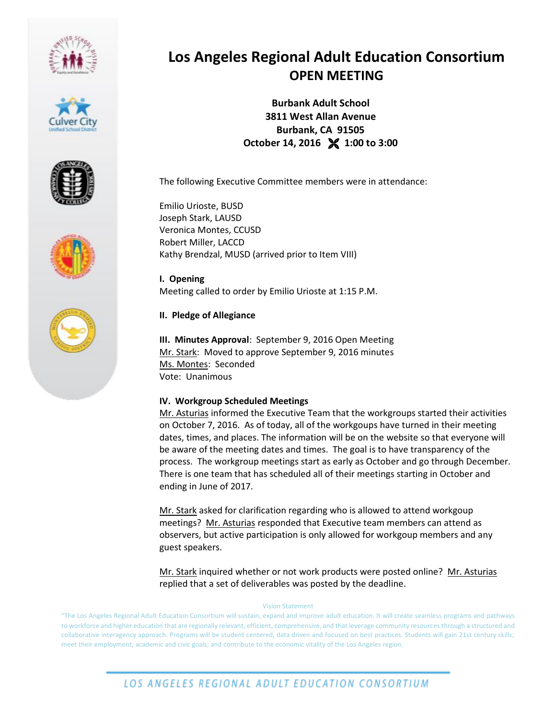









# **Los Angeles Regional Adult Education Consortium OPEN MEETING**

**Burbank Adult School 3811 West Allan Avenue Burbank, CA 91505 October 14, 2016 1:00 to 3:00**

The following Executive Committee members were in attendance:

Emilio Urioste, BUSD Joseph Stark, LAUSD Veronica Montes, CCUSD Robert Miller, LACCD Kathy Brendzal, MUSD (arrived prior to Item VIII)

**I. Opening** Meeting called to order by Emilio Urioste at 1:15 P.M.

## **II. Pledge of Allegiance**

**III. Minutes Approval**: September 9, 2016 Open Meeting Mr. Stark: Moved to approve September 9, 2016 minutes Ms. Montes: Seconded Vote: Unanimous

## **IV. Workgroup Scheduled Meetings**

Mr. Asturias informed the Executive Team that the workgroups started their activities on October 7, 2016. As of today, all of the workgoups have turned in their meeting dates, times, and places. The information will be on the website so that everyone will be aware of the meeting dates and times. The goal is to have transparency of the process. The workgroup meetings start as early as October and go through December. There is one team that has scheduled all of their meetings starting in October and ending in June of 2017.

Mr. Stark asked for clarification regarding who is allowed to attend workgoup meetings? Mr. Asturias responded that Executive team members can attend as observers, but active participation is only allowed for workgoup members and any guest speakers.

Mr. Stark inquired whether or not work products were posted online? Mr. Asturias replied that a set of deliverables was posted by the deadline.

### Vision Statement

"The Los Angeles Regional Adult Education Consortium will sustain, expand and improve adult education. It will create seamless programs and pathways to workforce and higher education that are regionally relevant, efficient, comprehensive, and that leverage community resources through a structured and collaborative interagency approach. Programs will be student centered, data driven and focused on best practices. Students will gain 21st century skills; meet their employment, academic and civic goals; and contribute to the economic vitality of the Los Angeles region.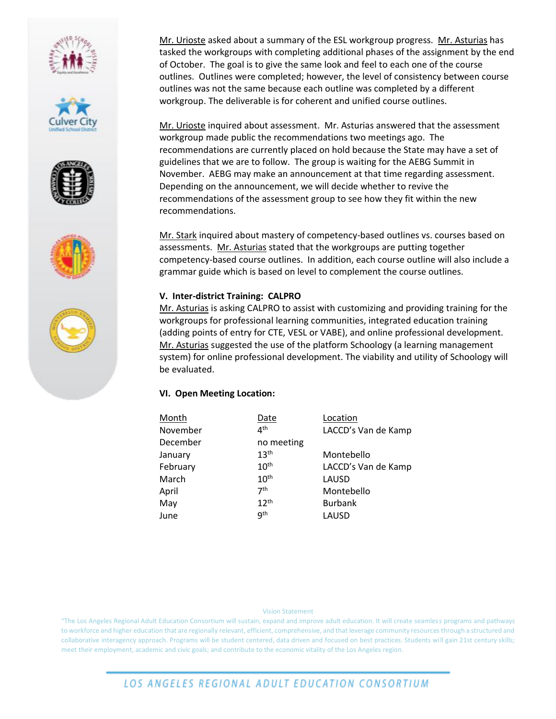









Mr. Urioste asked about a summary of the ESL workgroup progress. Mr. Asturias has tasked the workgroups with completing additional phases of the assignment by the end of October. The goal is to give the same look and feel to each one of the course outlines. Outlines were completed; however, the level of consistency between course outlines was not the same because each outline was completed by a different workgroup. The deliverable is for coherent and unified course outlines.

Mr. Urioste inquired about assessment. Mr. Asturias answered that the assessment workgroup made public the recommendations two meetings ago. The recommendations are currently placed on hold because the State may have a set of guidelines that we are to follow. The group is waiting for the AEBG Summit in November. AEBG may make an announcement at that time regarding assessment. Depending on the announcement, we will decide whether to revive the recommendations of the assessment group to see how they fit within the new recommendations.

Mr. Stark inquired about mastery of competency-based outlines vs. courses based on assessments. Mr. Asturias stated that the workgroups are putting together competency-based course outlines. In addition, each course outline will also include a grammar guide which is based on level to complement the course outlines.

### **V. Inter-district Training: CALPRO**

Mr. Asturias is asking CALPRO to assist with customizing and providing training for the workgroups for professional learning communities, integrated education training (adding points of entry for CTE, VESL or VABE), and online professional development. Mr. Asturias suggested the use of the platform Schoology (a learning management system) for online professional development. The viability and utility of Schoology will be evaluated.

## **VI. Open Meeting Location:**

| Month    | Date             | Location            |
|----------|------------------|---------------------|
| November | 4 <sup>th</sup>  | LACCD's Van de Kamp |
| December | no meeting       |                     |
| January  | 13 <sup>th</sup> | Montebello          |
| February | 10 <sup>th</sup> | LACCD's Van de Kamp |
| March    | 10 <sup>th</sup> | LAUSD               |
| April    | 7 <sup>th</sup>  | Montebello          |
| May      | 12 <sup>th</sup> | <b>Burbank</b>      |
| June     | qth              | LAUSD               |

### Vision Statement

"The Los Angeles Regional Adult Education Consortium will sustain, expand and improve adult education. It will create seamless programs and pathways to workforce and higher education that are regionally relevant, efficient, comprehensive, and that leverage community resources through a structured and collaborative interagency approach. Programs will be student centered, data driven and focused on best practices. Students will gain 21st century skills; meet their employment, academic and civic goals; and contribute to the economic vitality of the Los Angeles region.

## LOS ANGELES REGIONAL ADULT EDUCATION CONSORTIUM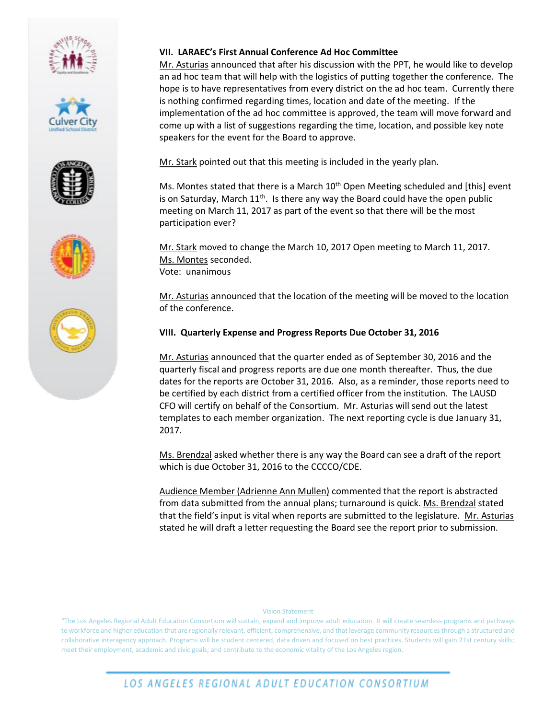









### **VII. LARAEC's First Annual Conference Ad Hoc Committee**

Mr. Asturias announced that after his discussion with the PPT, he would like to develop an ad hoc team that will help with the logistics of putting together the conference. The hope is to have representatives from every district on the ad hoc team. Currently there is nothing confirmed regarding times, location and date of the meeting. If the implementation of the ad hoc committee is approved, the team will move forward and come up with a list of suggestions regarding the time, location, and possible key note speakers for the event for the Board to approve.

Mr. Stark pointed out that this meeting is included in the yearly plan.

Ms. Montes stated that there is a March  $10<sup>th</sup>$  Open Meeting scheduled and [this] event is on Saturday, March  $11<sup>th</sup>$ . Is there any way the Board could have the open public meeting on March 11, 2017 as part of the event so that there will be the most participation ever?

Mr. Stark moved to change the March 10, 2017 Open meeting to March 11, 2017. Ms. Montes seconded. Vote: unanimous

Mr. Asturias announced that the location of the meeting will be moved to the location of the conference.

### **VIII. Quarterly Expense and Progress Reports Due October 31, 2016**

Mr. Asturias announced that the quarter ended as of September 30, 2016 and the quarterly fiscal and progress reports are due one month thereafter. Thus, the due dates for the reports are October 31, 2016. Also, as a reminder, those reports need to be certified by each district from a certified officer from the institution. The LAUSD CFO will certify on behalf of the Consortium. Mr. Asturias will send out the latest templates to each member organization. The next reporting cycle is due January 31, 2017.

Ms. Brendzal asked whether there is any way the Board can see a draft of the report which is due October 31, 2016 to the CCCCO/CDE.

Audience Member (Adrienne Ann Mullen) commented that the report is abstracted from data submitted from the annual plans; turnaround is quick. Ms. Brendzal stated that the field's input is vital when reports are submitted to the legislature. Mr. Asturias stated he will draft a letter requesting the Board see the report prior to submission.

### Vision Statement

"The Los Angeles Regional Adult Education Consortium will sustain, expand and improve adult education. It will create seamless programs and pathways to workforce and higher education that are regionally relevant, efficient, comprehensive, and that leverage community resources through a structured and collaborative interagency approach. Programs will be student centered, data driven and focused on best practices. Students will gain 21st century skills; meet their employment, academic and civic goals; and contribute to the economic vitality of the Los Angeles region.